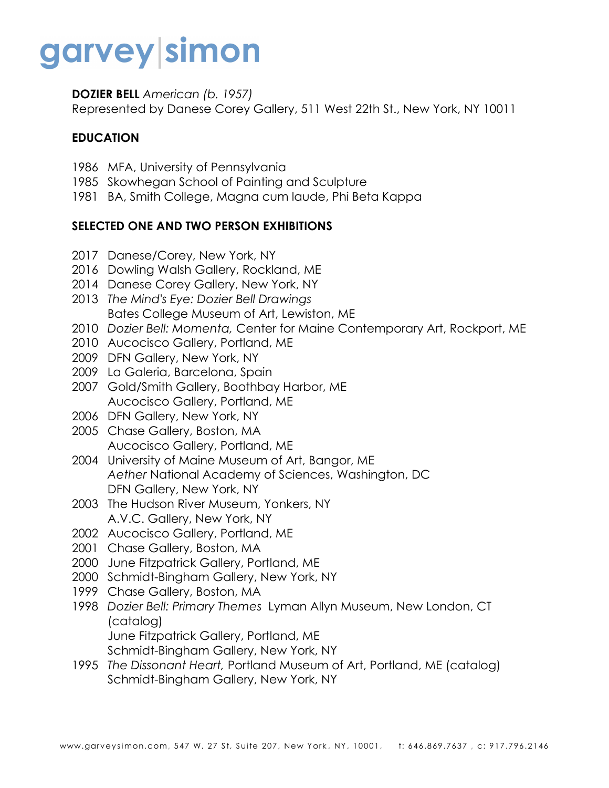# garvey|simon

**DOZIER BELL** *American (b. 1957)*

Represented by Danese Corey Gallery, 511 West 22th St., New York, NY 10011

#### **EDUCATION**

- 1986 MFA, University of Pennsylvania
- 1985 Skowhegan School of Painting and Sculpture
- 1981 BA, Smith College, Magna cum laude, Phi Beta Kappa

#### **SELECTED ONE AND TWO PERSON EXHIBITIONS**

- 2017 Danese/Corey, New York, NY
- 2016 Dowling Walsh Gallery, Rockland, ME
- 2014 Danese Corey Gallery, New York, NY
- 2013 *The Mind's Eye: Dozier Bell Drawings* Bates College Museum of Art, Lewiston, ME
- 2010 *Dozier Bell: Momenta,* Center for Maine Contemporary Art, Rockport, ME
- 2010 Aucocisco Gallery, Portland, ME
- 2009 DFN Gallery, New York, NY
- 2009 La Galeria, Barcelona, Spain
- 2007 Gold/Smith Gallery, Boothbay Harbor, ME Aucocisco Gallery, Portland, ME
- 2006 DFN Gallery, New York, NY
- 2005 Chase Gallery, Boston, MA Aucocisco Gallery, Portland, ME
- 2004 University of Maine Museum of Art, Bangor, ME *Aether* National Academy of Sciences, Washington, DC DFN Gallery, New York, NY
- 2003 The Hudson River Museum, Yonkers, NY A.V.C. Gallery, New York, NY
- 2002 Aucocisco Gallery, Portland, ME
- 2001 Chase Gallery, Boston, MA
- 2000 June Fitzpatrick Gallery, Portland, ME
- 2000 Schmidt-Bingham Gallery, New York, NY
- 1999 Chase Gallery, Boston, MA
- 1998 *Dozier Bell: Primary Themes* Lyman Allyn Museum, New London, CT (catalog) June Fitzpatrick Gallery, Portland, ME
	- Schmidt-Bingham Gallery, New York, NY
- 1995 *The Dissonant Heart,* Portland Museum of Art, Portland, ME (catalog) Schmidt-Bingham Gallery, New York, NY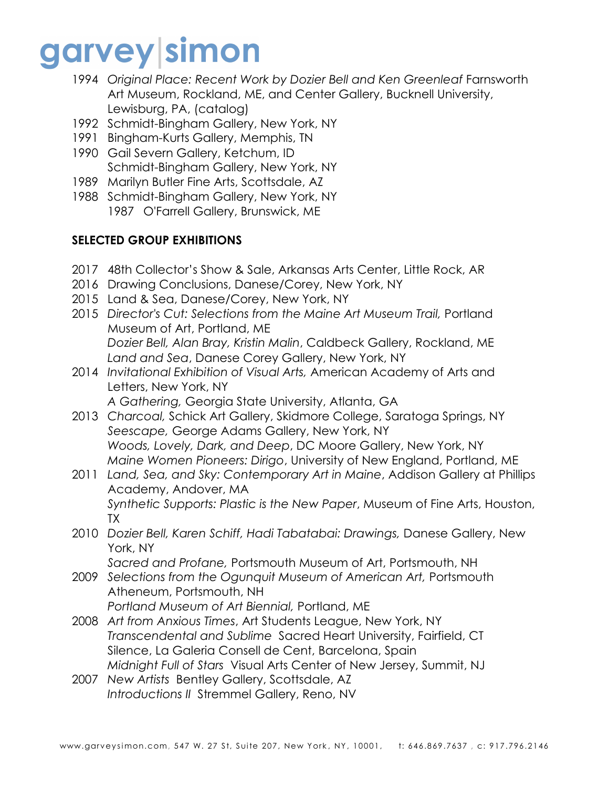## garvey simon

- 1994 *Original Place: Recent Work by Dozier Bell and Ken Greenleaf* Farnsworth Art Museum, Rockland, ME, and Center Gallery, Bucknell University, Lewisburg, PA, (catalog)
- 1992 Schmidt-Bingham Gallery, New York, NY
- 1991 Bingham-Kurts Gallery, Memphis, TN
- 1990 Gail Severn Gallery, Ketchum, ID Schmidt-Bingham Gallery, New York, NY
- 1989 Marilyn Butler Fine Arts, Scottsdale, AZ
- 1988 Schmidt-Bingham Gallery, New York, NY 1987 O'Farrell Gallery, Brunswick, ME

#### **SELECTED GROUP EXHIBITIONS**

- 2017 48th Collector's Show & Sale, Arkansas Arts Center, Little Rock, AR
- 2016 Drawing Conclusions, Danese/Corey, New York, NY
- 2015 Land & Sea, Danese/Corey, New York, NY
- 2015 *Director's Cut: Selections from the Maine Art Museum Trail,* Portland Museum of Art, Portland, ME *Dozier Bell, Alan Bray, Kristin Malin*, Caldbeck Gallery, Rockland, ME *Land and Sea*, Danese Corey Gallery, New York, NY
- 2014 *Invitational Exhibition of Visual Arts,* American Academy of Arts and Letters, New York, NY *A Gathering,* Georgia State University, Atlanta, GA
- 2013 *Charcoal,* Schick Art Gallery, Skidmore College, Saratoga Springs, NY *Seescape,* George Adams Gallery, New York, NY *Woods, Lovely, Dark, and Deep*, DC Moore Gallery, New York, NY *Maine Women Pioneers: Dirigo*, University of New England, Portland, ME
- 2011 *Land, Sea, and Sky: Contemporary Art in Maine*, Addison Gallery at Phillips Academy, Andover, MA *Synthetic Supports: Plastic is the New Paper*, Museum of Fine Arts, Houston, TX
- 2010 *Dozier Bell, Karen Schiff, Hadi Tabatabai: Drawings,* Danese Gallery, New York, NY

*Sacred and Profane,* Portsmouth Museum of Art, Portsmouth, NH

- 2009 *Selections from the Ogunquit Museum of American Art,* Portsmouth Atheneum, Portsmouth, NH
	- *Portland Museum of Art Biennial,* Portland, ME
- 2008 *Art from Anxious Times*, Art Students League, New York, NY *Transcendental and Sublime* Sacred Heart University, Fairfield, CT Silence, La Galeria Consell de Cent, Barcelona, Spain *Midnight Full of Stars* Visual Arts Center of New Jersey, Summit, NJ
- 2007 *New Artists* Bentley Gallery, Scottsdale, AZ *Introductions II* Stremmel Gallery, Reno, NV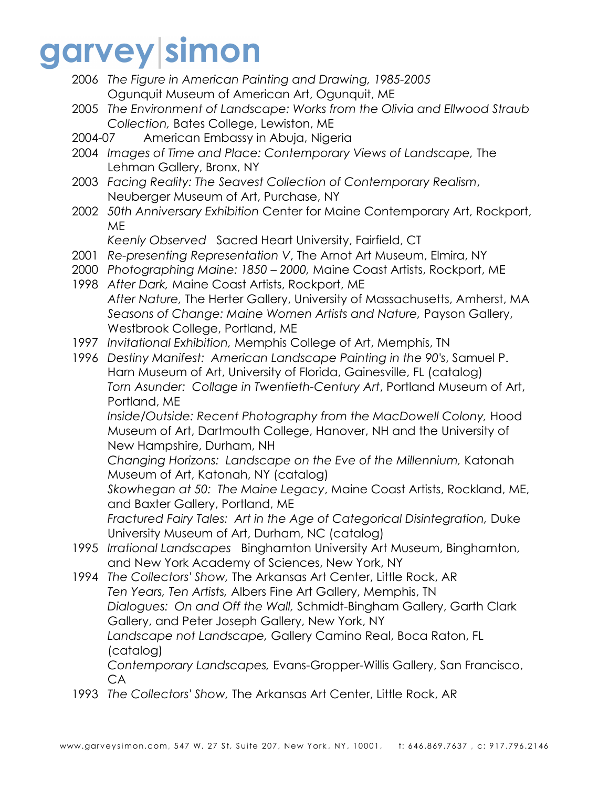## garvey simon

- 2006 *The Figure in American Painting and Drawing, 1985-2005* Ogunquit Museum of American Art, Ogunquit, ME
- 2005 *The Environment of Landscape: Works from the Olivia and Ellwood Straub Collection,* Bates College, Lewiston, ME
- 2004-07 American Embassy in Abuja, Nigeria
- 2004 *Images of Time and Place: Contemporary Views of Landscape,* The Lehman Gallery, Bronx, NY
- 2003 *Facing Reality: The Seavest Collection of Contemporary Realism*, Neuberger Museum of Art, Purchase, NY
- 2002 *50th Anniversary Exhibition* Center for Maine Contemporary Art, Rockport, ME

*Keenly Observed* Sacred Heart University, Fairfield, CT

- 2001 *Re-presenting Representation V*, The Arnot Art Museum, Elmira, NY
- 2000 *Photographing Maine: 1850 – 2000,* Maine Coast Artists, Rockport, ME
- 1998 *After Dark,* Maine Coast Artists, Rockport, ME *After Nature,* The Herter Gallery, University of Massachusetts, Amherst, MA *Seasons of Change: Maine Women Artists and Nature,* Payson Gallery, Westbrook College, Portland, ME
- 1997 *Invitational Exhibition,* Memphis College of Art, Memphis, TN
- 1996 *Destiny Manifest: American Landscape Painting in the 90's*, Samuel P. Harn Museum of Art, University of Florida, Gainesville, FL (catalog) *Torn Asunder: Collage in Twentieth-Century Art*, Portland Museum of Art, Portland, ME

*Inside/Outside: Recent Photography from the MacDowell Colony,* Hood Museum of Art, Dartmouth College, Hanover, NH and the University of New Hampshire, Durham, NH

*Changing Horizons: Landscape on the Eve of the Millennium,* Katonah Museum of Art, Katonah, NY (catalog)

*Skowhegan at 50: The Maine Legacy*, Maine Coast Artists, Rockland, ME, and Baxter Gallery, Portland, ME

*Fractured Fairy Tales: Art in the Age of Categorical Disintegration,* Duke University Museum of Art, Durham, NC (catalog)

- 1995 *Irrational Landscapes* Binghamton University Art Museum, Binghamton, and New York Academy of Sciences, New York, NY
- 1994 *The Collectors' Show,* The Arkansas Art Center, Little Rock, AR *Ten Years, Ten Artists,* Albers Fine Art Gallery, Memphis, TN *Dialogues: On and Off the Wall,* Schmidt-Bingham Gallery, Garth Clark Gallery, and Peter Joseph Gallery, New York, NY *Landscape not Landscape,* Gallery Camino Real, Boca Raton, FL (catalog) *Contemporary Landscapes,* Evans-Gropper-Willis Gallery, San Francisco,

CA 1993 *The Collectors' Show,* The Arkansas Art Center, Little Rock, AR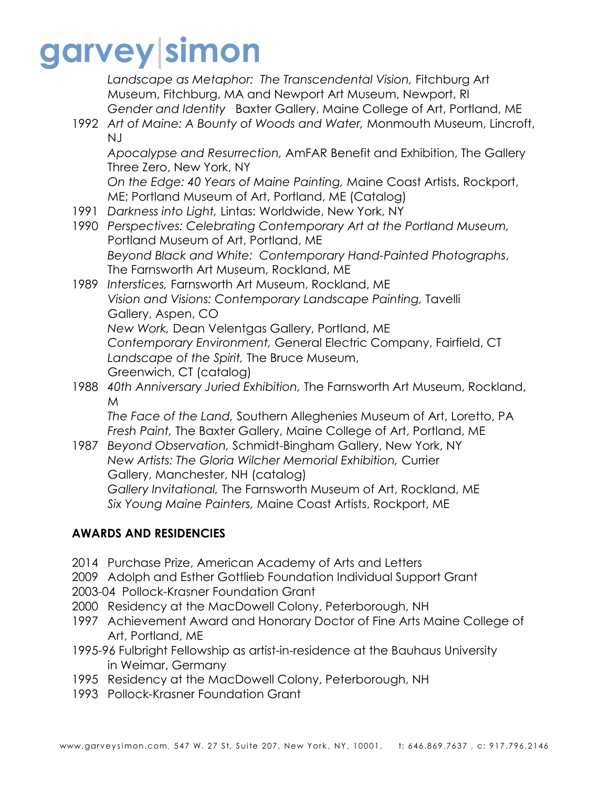## garvey|simon

*Landscape as Metaphor: The Transcendental Vision,* Fitchburg Art Museum, Fitchburg, MA and Newport Art Museum, Newport, RI *Gender and Identity* Baxter Gallery, Maine College of Art, Portland, ME

1992 *Art of Maine: A Bounty of Woods and Water,* Monmouth Museum, Lincroft, NJ

*Apocalypse and Resurrection,* AmFAR Benefit and Exhibition, The Gallery Three Zero, New York, NY

*On the Edge: 40 Years of Maine Painting,* Maine Coast Artists, Rockport, ME; Portland Museum of Art, Portland, ME (Catalog)

- 1991 *Darkness into Light,* Lintas: Worldwide, New York, NY
- 1990 *Perspectives: Celebrating Contemporary Art at the Portland Museum,*  Portland Museum of Art, Portland, ME *Beyond Black and White: Contemporary Hand-Painted Photographs*, The Farnsworth Art Museum, Rockland, ME
- 1989 *Interstices,* Farnsworth Art Museum, Rockland, ME *Vision and Visions: Contemporary Landscape Painting,* Tavelli Gallery, Aspen, CO *New Work,* Dean Velentgas Gallery, Portland, ME *Contemporary Environment,* General Electric Company, Fairfield, CT *Landscape of the Spirit,* The Bruce Museum, Greenwich, CT (catalog)
- 1988 *40th Anniversary Juried Exhibition,* The Farnsworth Art Museum, Rockland, M

*The Face of the Land,* Southern Alleghenies Museum of Art, Loretto, PA *Fresh Paint,* The Baxter Gallery, Maine College of Art, Portland, ME

1987 *Beyond Observation,* Schmidt-Bingham Gallery, New York, NY *New Artists: The Gloria Wilcher Memorial Exhibition,* Currier Gallery, Manchester, NH (catalog) *Gallery Invitational,* The Farnsworth Museum of Art, Rockland, ME *Six Young Maine Painters,* Maine Coast Artists, Rockport, ME

### **AWARDS AND RESIDENCIES**

- 2014 Purchase Prize, American Academy of Arts and Letters
- 2009 Adolph and Esther Gottlieb Foundation Individual Support Grant
- 2003-04 Pollock-Krasner Foundation Grant
- 2000 Residency at the MacDowell Colony, Peterborough, NH
- 1997 Achievement Award and Honorary Doctor of Fine Arts Maine College of Art, Portland, ME
- 1995-96 Fulbright Fellowship as artist-in-residence at the Bauhaus University in Weimar, Germany
- 1995 Residency at the MacDowell Colony, Peterborough, NH
- 1993 Pollock-Krasner Foundation Grant